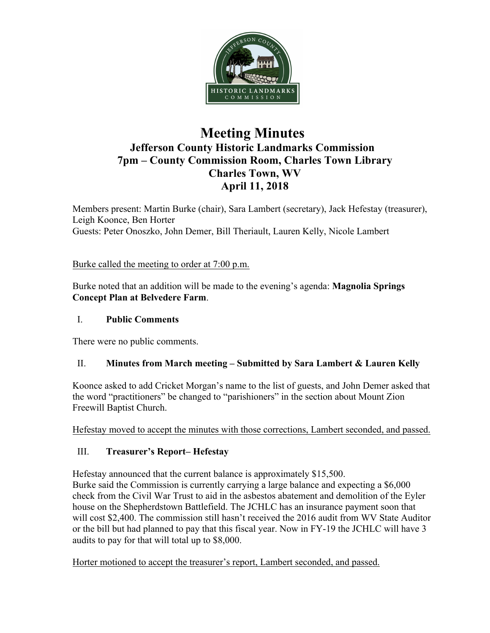

# **Meeting Minutes Jefferson County Historic Landmarks Commission 7pm – County Commission Room, Charles Town Library Charles Town, WV April 11, 2018**

Members present: Martin Burke (chair), Sara Lambert (secretary), Jack Hefestay (treasurer), Leigh Koonce, Ben Horter Guests: Peter Onoszko, John Demer, Bill Theriault, Lauren Kelly, Nicole Lambert

Burke called the meeting to order at 7:00 p.m.

Burke noted that an addition will be made to the evening's agenda: **Magnolia Springs Concept Plan at Belvedere Farm**.

# I. **Public Comments**

There were no public comments.

# II. **Minutes from March meeting – Submitted by Sara Lambert & Lauren Kelly**

Koonce asked to add Cricket Morgan's name to the list of guests, and John Demer asked that the word "practitioners" be changed to "parishioners" in the section about Mount Zion Freewill Baptist Church.

Hefestay moved to accept the minutes with those corrections, Lambert seconded, and passed.

# III. **Treasurer's Report– Hefestay**

Hefestay announced that the current balance is approximately \$15,500. Burke said the Commission is currently carrying a large balance and expecting a \$6,000 check from the Civil War Trust to aid in the asbestos abatement and demolition of the Eyler house on the Shepherdstown Battlefield. The JCHLC has an insurance payment soon that will cost \$2,400. The commission still hasn't received the 2016 audit from WV State Auditor or the bill but had planned to pay that this fiscal year. Now in FY-19 the JCHLC will have 3 audits to pay for that will total up to \$8,000.

Horter motioned to accept the treasurer's report, Lambert seconded, and passed.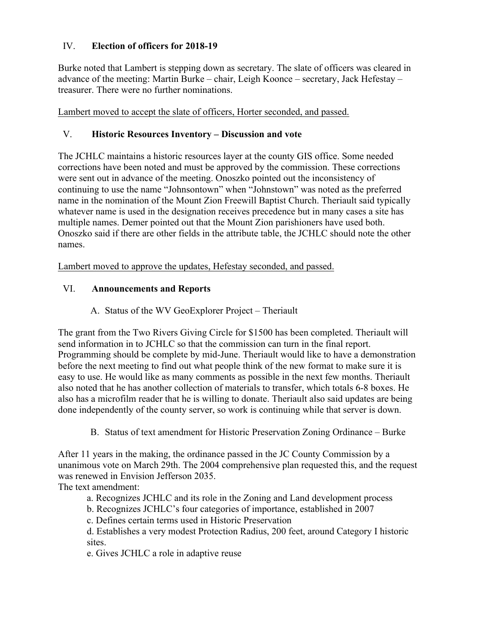# IV. **Election of officers for 2018-19**

Burke noted that Lambert is stepping down as secretary. The slate of officers was cleared in advance of the meeting: Martin Burke – chair, Leigh Koonce – secretary, Jack Hefestay – treasurer. There were no further nominations.

Lambert moved to accept the slate of officers, Horter seconded, and passed.

## V. **Historic Resources Inventory – Discussion and vote**

The JCHLC maintains a historic resources layer at the county GIS office. Some needed corrections have been noted and must be approved by the commission. These corrections were sent out in advance of the meeting. Onoszko pointed out the inconsistency of continuing to use the name "Johnsontown" when "Johnstown" was noted as the preferred name in the nomination of the Mount Zion Freewill Baptist Church. Theriault said typically whatever name is used in the designation receives precedence but in many cases a site has multiple names. Demer pointed out that the Mount Zion parishioners have used both. Onoszko said if there are other fields in the attribute table, the JCHLC should note the other names.

Lambert moved to approve the updates, Hefestay seconded, and passed.

# VI. **Announcements and Reports**

A. Status of the WV GeoExplorer Project – Theriault

The grant from the Two Rivers Giving Circle for \$1500 has been completed. Theriault will send information in to JCHLC so that the commission can turn in the final report. Programming should be complete by mid-June. Theriault would like to have a demonstration before the next meeting to find out what people think of the new format to make sure it is easy to use. He would like as many comments as possible in the next few months. Theriault also noted that he has another collection of materials to transfer, which totals 6-8 boxes. He also has a microfilm reader that he is willing to donate. Theriault also said updates are being done independently of the county server, so work is continuing while that server is down.

B. Status of text amendment for Historic Preservation Zoning Ordinance – Burke

After 11 years in the making, the ordinance passed in the JC County Commission by a unanimous vote on March 29th. The 2004 comprehensive plan requested this, and the request was renewed in Envision Jefferson 2035.

The text amendment:

a. Recognizes JCHLC and its role in the Zoning and Land development process

b. Recognizes JCHLC's four categories of importance, established in 2007

c. Defines certain terms used in Historic Preservation

d. Establishes a very modest Protection Radius, 200 feet, around Category I historic sites.

e. Gives JCHLC a role in adaptive reuse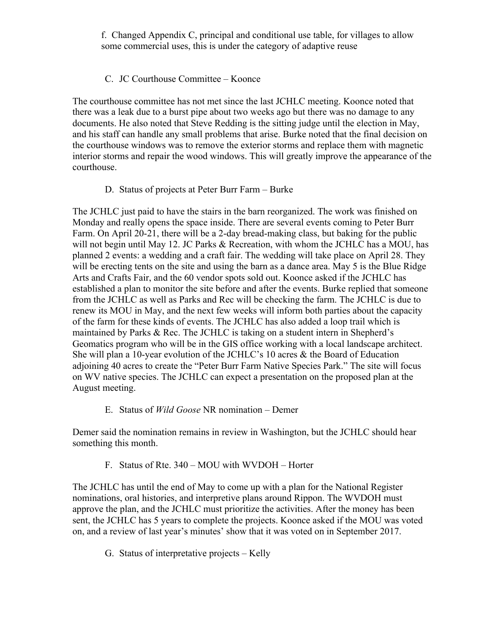f. Changed Appendix C, principal and conditional use table, for villages to allow some commercial uses, this is under the category of adaptive reuse

## C. JC Courthouse Committee – Koonce

The courthouse committee has not met since the last JCHLC meeting. Koonce noted that there was a leak due to a burst pipe about two weeks ago but there was no damage to any documents. He also noted that Steve Redding is the sitting judge until the election in May, and his staff can handle any small problems that arise. Burke noted that the final decision on the courthouse windows was to remove the exterior storms and replace them with magnetic interior storms and repair the wood windows. This will greatly improve the appearance of the courthouse.

## D. Status of projects at Peter Burr Farm – Burke

The JCHLC just paid to have the stairs in the barn reorganized. The work was finished on Monday and really opens the space inside. There are several events coming to Peter Burr Farm. On April 20-21, there will be a 2-day bread-making class, but baking for the public will not begin until May 12. JC Parks & Recreation, with whom the JCHLC has a MOU, has planned 2 events: a wedding and a craft fair. The wedding will take place on April 28. They will be erecting tents on the site and using the barn as a dance area. May 5 is the Blue Ridge Arts and Crafts Fair, and the 60 vendor spots sold out. Koonce asked if the JCHLC has established a plan to monitor the site before and after the events. Burke replied that someone from the JCHLC as well as Parks and Rec will be checking the farm. The JCHLC is due to renew its MOU in May, and the next few weeks will inform both parties about the capacity of the farm for these kinds of events. The JCHLC has also added a loop trail which is maintained by Parks & Rec. The JCHLC is taking on a student intern in Shepherd's Geomatics program who will be in the GIS office working with a local landscape architect. She will plan a 10-year evolution of the JCHLC's 10 acres & the Board of Education adjoining 40 acres to create the "Peter Burr Farm Native Species Park." The site will focus on WV native species. The JCHLC can expect a presentation on the proposed plan at the August meeting.

#### E. Status of *Wild Goose* NR nomination – Demer

Demer said the nomination remains in review in Washington, but the JCHLC should hear something this month.

F. Status of Rte. 340 – MOU with WVDOH – Horter

The JCHLC has until the end of May to come up with a plan for the National Register nominations, oral histories, and interpretive plans around Rippon. The WVDOH must approve the plan, and the JCHLC must prioritize the activities. After the money has been sent, the JCHLC has 5 years to complete the projects. Koonce asked if the MOU was voted on, and a review of last year's minutes' show that it was voted on in September 2017.

G. Status of interpretative projects – Kelly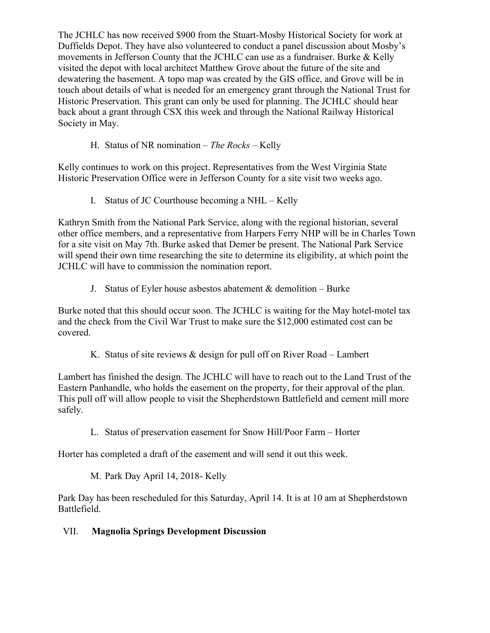The JCHLC has now received \$900 from the Stuart-Mosby Historical Society for work at Duffields Depot. They have also volunteered to conduct a panel discussion about Mosby's movements in Jefferson County that the JCHLC can use as a fundraiser. Burke & Kelly visited the depot with local architect Matthew Grove about the future of the site and dewatering the basement. A topo map was created by the GIS office, and Grove will be in touch about details of what is needed for an emergency grant through the National Trust for Historic Preservation. This grant can only be used for planning. The JCHLC should hear back about a grant through CSX this week and through the National Railway Historical Society in May.

H. Status of NR nomination – *The Rocks –* Kelly

Kelly continues to work on this project. Representatives from the West Virginia State Historic Preservation Office were in Jefferson County for a site visit two weeks ago.

I. Status of JC Courthouse becoming a NHL – Kelly

Kathryn Smith from the National Park Service, along with the regional historian, several other office members, and a representative from Harpers Ferry NHP will be in Charles Town for a site visit on May 7th. Burke asked that Demer be present. The National Park Service will spend their own time researching the site to determine its eligibility, at which point the JCHLC will have to commission the nomination report.

J. Status of Eyler house asbestos abatement  $&$  demolition – Burke

Burke noted that this should occur soon. The JCHLC is waiting for the May hotel-motel tax and the check from the Civil War Trust to make sure the \$12,000 estimated cost can be covered.

K. Status of site reviews & design for pull off on River Road – Lambert

Lambert has finished the design. The JCHLC will have to reach out to the Land Trust of the Eastern Panhandle, who holds the easement on the property, for their approval of the plan. This pull off will allow people to visit the Shepherdstown Battlefield and cement mill more safely.

L. Status of preservation easement for Snow Hill/Poor Farm – Horter

Horter has completed a draft of the easement and will send it out this week.

M. Park Day April 14, 2018- Kelly

Park Day has been rescheduled for this Saturday, April 14. It is at 10 am at Shepherdstown Battlefield.

# VII. **Magnolia Springs Development Discussion**